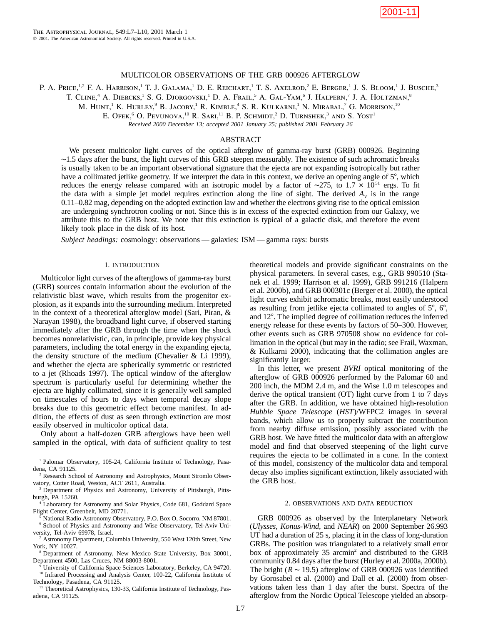

## MULTICOLOR OBSERVATIONS OF THE GRB 000926 AFTERGLOW

P. A. Price,<sup>1,2</sup> F. A. Harrison,<sup>1</sup> T. J. Galama,<sup>1</sup> D. E. Reichart,<sup>1</sup> T. S. Axelrod,<sup>2</sup> E. Berger,<sup>1</sup> J. S. Bloom,<sup>1</sup> J. Busche,<sup>3</sup>

T. CLINE,<sup>4</sup> A. DIERCKS,<sup>1</sup> S. G. DJORGOVSKI,<sup>1</sup> D. A. Frail,<sup>5</sup> A. Gal-Yam,<sup>6</sup> J. Halpern,<sup>7</sup> J. A. Holtzman,<sup>8</sup>

M. HUNT,<sup>1</sup> K. HURLEY,<sup>9</sup> B. JACOBY,<sup>1</sup> R. KIMBLE,<sup>4</sup> S. R. KULKARNI,<sup>1</sup> N. MIRABAL,<sup>7</sup> G. MORRISON,<sup>10</sup>

E. Ofek,<sup>6</sup> O. Pevunova,<sup>10</sup> R. Sari,<sup>11</sup> B. P. Schmidt,<sup>2</sup> D. Turnshek,<sup>3</sup> and S. Yost<sup>1</sup>

*Received 2000 December 13; accepted 2001 January 25; published 2001 February 26*

# ABSTRACT

We present multicolor light curves of the optical afterglow of gamma-ray burst (GRB) 000926. Beginning ∼1.5 days after the burst, the light curves of this GRB steepen measurably. The existence of such achromatic breaks is usually taken to be an important observational signature that the ejecta are not expanding isotropically but rather have a collimated jetlike geometry. If we interpret the data in this context, we derive an opening angle of  $5^\circ$ , which reduces the energy release compared with an isotropic model by a factor of ∼275, to 1.7  $\times$  10<sup>51</sup> ergs. To fit the data with a simple jet model requires extinction along the line of sight. The derived  $A_V$  is in the range 0.11–0.82 mag, depending on the adopted extinction law and whether the electrons giving rise to the optical emission are undergoing synchrotron cooling or not. Since this is in excess of the expected extinction from our Galaxy, we attribute this to the GRB host. We note that this extinction is typical of a galactic disk, and therefore the event likely took place in the disk of its host.

*Subject headings:* cosmology: observations — galaxies: ISM — gamma rays: bursts

## 1. INTRODUCTION

Multicolor light curves of the afterglows of gamma-ray burst (GRB) sources contain information about the evolution of the relativistic blast wave, which results from the progenitor explosion, as it expands into the surrounding medium. Interpreted in the context of a theoretical afterglow model (Sari, Piran, & Narayan 1998), the broadband light curve, if observed starting immediately after the GRB through the time when the shock becomes nonrelativistic, can, in principle, provide key physical parameters, including the total energy in the expanding ejecta, the density structure of the medium (Chevalier & Li 1999), and whether the ejecta are spherically symmetric or restricted to a jet (Rhoads 1997). The optical window of the afterglow spectrum is particularly useful for determining whether the ejecta are highly collimated, since it is generally well sampled on timescales of hours to days when temporal decay slope breaks due to this geometric effect become manifest. In addition, the effects of dust as seen through extinction are most easily observed in multicolor optical data.

Only about a half-dozen GRB afterglows have been well sampled in the optical, with data of sufficient quality to test

<sup>1</sup> Palomar Observatory, 105-24, California Institute of Technology, Pasadena, CA 91125.

<sup>2</sup> Research School of Astronomy and Astrophysics, Mount Stromlo Observatory, Cotter Road, Weston, ACT 2611, Australia.

<sup>3</sup> Department of Physics and Astronomy, University of Pittsburgh, Pittsburgh, PA 15260.

Laboratory for Astronomy and Solar Physics, Code 681, Goddard Space Flight Center, Greenbelt, MD 20771.

<sup>5</sup> National Radio Astronomy Observatory, P.O. Box O, Socorro, NM 87801. <sup>6</sup> School of Physics and Astronomy and Wise Observatory, Tel-Aviv University, Tel-Aviv 69978, Israel.

<sup>7</sup> Astronomy Department, Columbia University, 550 West 120th Street, New York, NY 10027.

<sup>8</sup> Department of Astronomy, New Mexico State University, Box 30001, Department 4500, Las Cruces, NM 88003-8001.

<sup>9</sup> University of California Space Sciences Laboratory, Berkeley, CA 94720. <sup>10</sup> Infrared Processing and Analysis Center, 100-22, California Institute of Technology, Pasadena, CA 91125.

<sup>11</sup> Theoretical Astrophysics, 130-33, California Institute of Technology, Pasadena, CA 91125.

theoretical models and provide significant constraints on the physical parameters. In several cases, e.g., GRB 990510 (Stanek et al. 1999; Harrison et al. 1999), GRB 991216 (Halpern et al. 2000b), and GRB 000301c (Berger et al. 2000), the optical light curves exhibit achromatic breaks, most easily understood as resulting from jetlike ejecta collimated to angles of  $5^\circ$ ,  $6^\circ$ , and 12°. The implied degree of collimation reduces the inferred energy release for these events by factors of 50–300. However, other events such as GRB 970508 show no evidence for collimation in the optical (but may in the radio; see Frail, Waxman, & Kulkarni 2000), indicating that the collimation angles are significantly larger.

In this letter, we present *BVRI* optical monitoring of the afterglow of GRB 000926 performed by the Palomar 60 and 200 inch, the MDM 2.4 m, and the Wise 1.0 m telescopes and derive the optical transient (OT) light curve from 1 to 7 days after the GRB. In addition, we have obtained high-resolution *Hubble Space Telescope* (*HST*)/WFPC2 images in several bands, which allow us to properly subtract the contribution from nearby diffuse emission, possibly associated with the GRB host. We have fitted the multicolor data with an afterglow model and find that observed steepening of the light curve requires the ejecta to be collimated in a cone. In the context of this model, consistency of the multicolor data and temporal decay also implies significant extinction, likely associated with the GRB host.

## 2. OBSERVATIONS AND DATA REDUCTION

GRB 000926 as observed by the Interplanetary Network (*Ulysses*, *Konus-Wind*, and *NEAR*) on 2000 September 26.993 UT had a duration of 25 s, placing it in the class of long-duration GRBs. The position was triangulated to a relatively small error box of approximately 35 arcmin<sup>2</sup> and distributed to the GRB community 0.84 days after the burst (Hurley et al. 2000a, 2000b). The bright  $(R \sim 19.5)$  afterglow of GRB 000926 was identified by Gorosabel et al. (2000) and Dall et al. (2000) from observations taken less than 1 day after the burst. Spectra of the afterglow from the Nordic Optical Telescope yielded an absorp-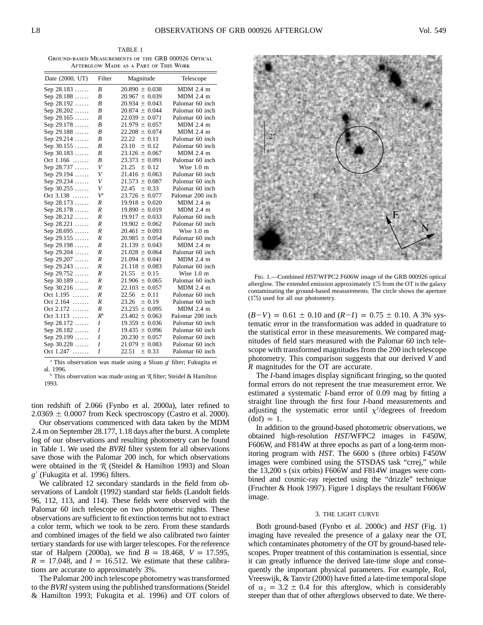TABLE 1 Ground-based Measurements of the GRB 000926 Optical Afterglow Made as a Part of This Work

| MDM 2.4 m<br>$\boldsymbol{B}$<br>$20.890 \pm 0.038$<br>Sep 28.183<br>B<br>MDM 2.4 m<br>Sep 28.188<br>$20.967 \pm 0.039$<br>B<br>Sep 28.192<br>$20.934 \pm 0.043$<br>Palomar 60 inch<br>B<br>Palomar 60 inch<br>Sep 28.202<br>$20.874 \pm 0.044$<br>B<br>Palomar 60 inch<br>Sep 29.165<br>$22.039 \pm 0.071$<br>R<br>$21.979 \pm 0.057$<br>$MDM$ 2.4 m<br>Sep 29.178<br>B<br>$MDM$ 2.4 m<br>Sep 29.188<br>$22.208 \pm 0.074$<br>$\overline{B}$<br>22.22<br>Sep 29.214<br>± 0.11<br>Palomar 60 inch<br>$\boldsymbol{B}$<br>Palomar 60 inch<br>Sep 30.155<br>23.10<br>± 0.12<br>$MDM$ 2.4 m<br>Sep $30.183$<br>B<br>$23.126 \pm 0.067$<br>B<br>Oct 1.166<br>$23.373 \pm 0.091$<br>Palomar 60 inch<br>V<br>21.25<br>Sep 28.737<br>$\pm$ 0.12<br>Wise 1.0 m<br>V<br>$21.416 \pm 0.063$<br>Sep 29.194<br>Palomar 60 inch<br>Sep 29.234<br>V<br>$21.573 \pm 0.087$<br>Palomar 60 inch<br>V<br>Sep $30.255$<br>22.45<br>$+0.33$<br>Palomar 60 inch<br>$V^{\rm a}$<br>Palomar 200 inch<br>Oct 3.138<br>$23.726 \pm 0.077$<br>MDM 2.4 m<br>Sep 28.173<br>R<br>$19.918 \pm 0.020$<br>MDM 2.4 m<br>Sep $28.178$<br>R<br>$19.890 \pm 0.019$<br>R<br>Palomar 60 inch<br>Sep 28.212<br>$19.917 \pm 0.033$<br>R<br>Palomar 60 inch<br>Sep 28.221<br>$19.902 \pm 0.062$<br>$\overline{R}$<br>$20.461 \pm 0.093$<br>Wise $1.0 \text{ m}$<br>Sep 28.695<br>$\overline{R}$<br>Sep 29.155<br>$20.985 \pm 0.054$<br>Palomar 60 inch<br>$\overline{R}$<br>$MDM$ 2.4 m<br>Sep 29.198<br>$21.139 \pm 0.043$<br>Sep 29.204<br>R<br>$21.028 \pm 0.064$<br>Palomar 60 inch<br>MDM 2.4 m<br>Sep 29.207<br>R<br>$21.094 \pm 0.041$<br>R<br>Sep 29.243<br>$21.118 \pm 0.083$<br>Palomar 60 inch<br>R<br>21.55<br>Wise $1.0 \text{ m}$<br>Sep 29.752<br>$\pm$ 0.15<br>$\overline{R}$<br>$21.906 \pm 0.065$<br>Sep $30.189$<br>Palomar 60 inch<br>$\overline{R}$<br>MDM 2.4 m<br>Sep $30.216$<br>$22.103 \pm 0.057$ |  |
|------------------------------------------------------------------------------------------------------------------------------------------------------------------------------------------------------------------------------------------------------------------------------------------------------------------------------------------------------------------------------------------------------------------------------------------------------------------------------------------------------------------------------------------------------------------------------------------------------------------------------------------------------------------------------------------------------------------------------------------------------------------------------------------------------------------------------------------------------------------------------------------------------------------------------------------------------------------------------------------------------------------------------------------------------------------------------------------------------------------------------------------------------------------------------------------------------------------------------------------------------------------------------------------------------------------------------------------------------------------------------------------------------------------------------------------------------------------------------------------------------------------------------------------------------------------------------------------------------------------------------------------------------------------------------------------------------------------------------------------------------------------------------------------------------------------------------------------------------------------------------------|--|
|                                                                                                                                                                                                                                                                                                                                                                                                                                                                                                                                                                                                                                                                                                                                                                                                                                                                                                                                                                                                                                                                                                                                                                                                                                                                                                                                                                                                                                                                                                                                                                                                                                                                                                                                                                                                                                                                                    |  |
|                                                                                                                                                                                                                                                                                                                                                                                                                                                                                                                                                                                                                                                                                                                                                                                                                                                                                                                                                                                                                                                                                                                                                                                                                                                                                                                                                                                                                                                                                                                                                                                                                                                                                                                                                                                                                                                                                    |  |
|                                                                                                                                                                                                                                                                                                                                                                                                                                                                                                                                                                                                                                                                                                                                                                                                                                                                                                                                                                                                                                                                                                                                                                                                                                                                                                                                                                                                                                                                                                                                                                                                                                                                                                                                                                                                                                                                                    |  |
|                                                                                                                                                                                                                                                                                                                                                                                                                                                                                                                                                                                                                                                                                                                                                                                                                                                                                                                                                                                                                                                                                                                                                                                                                                                                                                                                                                                                                                                                                                                                                                                                                                                                                                                                                                                                                                                                                    |  |
|                                                                                                                                                                                                                                                                                                                                                                                                                                                                                                                                                                                                                                                                                                                                                                                                                                                                                                                                                                                                                                                                                                                                                                                                                                                                                                                                                                                                                                                                                                                                                                                                                                                                                                                                                                                                                                                                                    |  |
|                                                                                                                                                                                                                                                                                                                                                                                                                                                                                                                                                                                                                                                                                                                                                                                                                                                                                                                                                                                                                                                                                                                                                                                                                                                                                                                                                                                                                                                                                                                                                                                                                                                                                                                                                                                                                                                                                    |  |
|                                                                                                                                                                                                                                                                                                                                                                                                                                                                                                                                                                                                                                                                                                                                                                                                                                                                                                                                                                                                                                                                                                                                                                                                                                                                                                                                                                                                                                                                                                                                                                                                                                                                                                                                                                                                                                                                                    |  |
|                                                                                                                                                                                                                                                                                                                                                                                                                                                                                                                                                                                                                                                                                                                                                                                                                                                                                                                                                                                                                                                                                                                                                                                                                                                                                                                                                                                                                                                                                                                                                                                                                                                                                                                                                                                                                                                                                    |  |
|                                                                                                                                                                                                                                                                                                                                                                                                                                                                                                                                                                                                                                                                                                                                                                                                                                                                                                                                                                                                                                                                                                                                                                                                                                                                                                                                                                                                                                                                                                                                                                                                                                                                                                                                                                                                                                                                                    |  |
|                                                                                                                                                                                                                                                                                                                                                                                                                                                                                                                                                                                                                                                                                                                                                                                                                                                                                                                                                                                                                                                                                                                                                                                                                                                                                                                                                                                                                                                                                                                                                                                                                                                                                                                                                                                                                                                                                    |  |
|                                                                                                                                                                                                                                                                                                                                                                                                                                                                                                                                                                                                                                                                                                                                                                                                                                                                                                                                                                                                                                                                                                                                                                                                                                                                                                                                                                                                                                                                                                                                                                                                                                                                                                                                                                                                                                                                                    |  |
|                                                                                                                                                                                                                                                                                                                                                                                                                                                                                                                                                                                                                                                                                                                                                                                                                                                                                                                                                                                                                                                                                                                                                                                                                                                                                                                                                                                                                                                                                                                                                                                                                                                                                                                                                                                                                                                                                    |  |
|                                                                                                                                                                                                                                                                                                                                                                                                                                                                                                                                                                                                                                                                                                                                                                                                                                                                                                                                                                                                                                                                                                                                                                                                                                                                                                                                                                                                                                                                                                                                                                                                                                                                                                                                                                                                                                                                                    |  |
|                                                                                                                                                                                                                                                                                                                                                                                                                                                                                                                                                                                                                                                                                                                                                                                                                                                                                                                                                                                                                                                                                                                                                                                                                                                                                                                                                                                                                                                                                                                                                                                                                                                                                                                                                                                                                                                                                    |  |
|                                                                                                                                                                                                                                                                                                                                                                                                                                                                                                                                                                                                                                                                                                                                                                                                                                                                                                                                                                                                                                                                                                                                                                                                                                                                                                                                                                                                                                                                                                                                                                                                                                                                                                                                                                                                                                                                                    |  |
|                                                                                                                                                                                                                                                                                                                                                                                                                                                                                                                                                                                                                                                                                                                                                                                                                                                                                                                                                                                                                                                                                                                                                                                                                                                                                                                                                                                                                                                                                                                                                                                                                                                                                                                                                                                                                                                                                    |  |
|                                                                                                                                                                                                                                                                                                                                                                                                                                                                                                                                                                                                                                                                                                                                                                                                                                                                                                                                                                                                                                                                                                                                                                                                                                                                                                                                                                                                                                                                                                                                                                                                                                                                                                                                                                                                                                                                                    |  |
|                                                                                                                                                                                                                                                                                                                                                                                                                                                                                                                                                                                                                                                                                                                                                                                                                                                                                                                                                                                                                                                                                                                                                                                                                                                                                                                                                                                                                                                                                                                                                                                                                                                                                                                                                                                                                                                                                    |  |
|                                                                                                                                                                                                                                                                                                                                                                                                                                                                                                                                                                                                                                                                                                                                                                                                                                                                                                                                                                                                                                                                                                                                                                                                                                                                                                                                                                                                                                                                                                                                                                                                                                                                                                                                                                                                                                                                                    |  |
|                                                                                                                                                                                                                                                                                                                                                                                                                                                                                                                                                                                                                                                                                                                                                                                                                                                                                                                                                                                                                                                                                                                                                                                                                                                                                                                                                                                                                                                                                                                                                                                                                                                                                                                                                                                                                                                                                    |  |
|                                                                                                                                                                                                                                                                                                                                                                                                                                                                                                                                                                                                                                                                                                                                                                                                                                                                                                                                                                                                                                                                                                                                                                                                                                                                                                                                                                                                                                                                                                                                                                                                                                                                                                                                                                                                                                                                                    |  |
|                                                                                                                                                                                                                                                                                                                                                                                                                                                                                                                                                                                                                                                                                                                                                                                                                                                                                                                                                                                                                                                                                                                                                                                                                                                                                                                                                                                                                                                                                                                                                                                                                                                                                                                                                                                                                                                                                    |  |
|                                                                                                                                                                                                                                                                                                                                                                                                                                                                                                                                                                                                                                                                                                                                                                                                                                                                                                                                                                                                                                                                                                                                                                                                                                                                                                                                                                                                                                                                                                                                                                                                                                                                                                                                                                                                                                                                                    |  |
|                                                                                                                                                                                                                                                                                                                                                                                                                                                                                                                                                                                                                                                                                                                                                                                                                                                                                                                                                                                                                                                                                                                                                                                                                                                                                                                                                                                                                                                                                                                                                                                                                                                                                                                                                                                                                                                                                    |  |
|                                                                                                                                                                                                                                                                                                                                                                                                                                                                                                                                                                                                                                                                                                                                                                                                                                                                                                                                                                                                                                                                                                                                                                                                                                                                                                                                                                                                                                                                                                                                                                                                                                                                                                                                                                                                                                                                                    |  |
|                                                                                                                                                                                                                                                                                                                                                                                                                                                                                                                                                                                                                                                                                                                                                                                                                                                                                                                                                                                                                                                                                                                                                                                                                                                                                                                                                                                                                                                                                                                                                                                                                                                                                                                                                                                                                                                                                    |  |
|                                                                                                                                                                                                                                                                                                                                                                                                                                                                                                                                                                                                                                                                                                                                                                                                                                                                                                                                                                                                                                                                                                                                                                                                                                                                                                                                                                                                                                                                                                                                                                                                                                                                                                                                                                                                                                                                                    |  |
|                                                                                                                                                                                                                                                                                                                                                                                                                                                                                                                                                                                                                                                                                                                                                                                                                                                                                                                                                                                                                                                                                                                                                                                                                                                                                                                                                                                                                                                                                                                                                                                                                                                                                                                                                                                                                                                                                    |  |
|                                                                                                                                                                                                                                                                                                                                                                                                                                                                                                                                                                                                                                                                                                                                                                                                                                                                                                                                                                                                                                                                                                                                                                                                                                                                                                                                                                                                                                                                                                                                                                                                                                                                                                                                                                                                                                                                                    |  |
| $\overline{R}$<br>Oct 1.195<br>22.56<br>± 0.11<br>Palomar 60 inch                                                                                                                                                                                                                                                                                                                                                                                                                                                                                                                                                                                                                                                                                                                                                                                                                                                                                                                                                                                                                                                                                                                                                                                                                                                                                                                                                                                                                                                                                                                                                                                                                                                                                                                                                                                                                  |  |
| Oct $2.164$<br>R<br>23.26<br>Palomar 60 inch<br>± 0.19                                                                                                                                                                                                                                                                                                                                                                                                                                                                                                                                                                                                                                                                                                                                                                                                                                                                                                                                                                                                                                                                                                                                                                                                                                                                                                                                                                                                                                                                                                                                                                                                                                                                                                                                                                                                                             |  |
| Oct 2.172<br>$MDM$ 2.4 m<br>R<br>$23.235 \pm 0.095$                                                                                                                                                                                                                                                                                                                                                                                                                                                                                                                                                                                                                                                                                                                                                                                                                                                                                                                                                                                                                                                                                                                                                                                                                                                                                                                                                                                                                                                                                                                                                                                                                                                                                                                                                                                                                                |  |
| $R^{\rm b}$<br>Oct 3.113<br>Palomar 200 inch<br>$23.402 \pm 0.063$                                                                                                                                                                                                                                                                                                                                                                                                                                                                                                                                                                                                                                                                                                                                                                                                                                                                                                                                                                                                                                                                                                                                                                                                                                                                                                                                                                                                                                                                                                                                                                                                                                                                                                                                                                                                                 |  |
| Sep 28.172<br>Ι<br>$19.359 \pm 0.036$<br>Palomar 60 inch                                                                                                                                                                                                                                                                                                                                                                                                                                                                                                                                                                                                                                                                                                                                                                                                                                                                                                                                                                                                                                                                                                                                                                                                                                                                                                                                                                                                                                                                                                                                                                                                                                                                                                                                                                                                                           |  |
| I<br>$19.435 \pm 0.096$<br>Sep 28.182<br>Palomar 60 inch                                                                                                                                                                                                                                                                                                                                                                                                                                                                                                                                                                                                                                                                                                                                                                                                                                                                                                                                                                                                                                                                                                                                                                                                                                                                                                                                                                                                                                                                                                                                                                                                                                                                                                                                                                                                                           |  |
| I<br>Sep 29.199<br>Palomar 60 inch<br>$20.230 \pm 0.057$                                                                                                                                                                                                                                                                                                                                                                                                                                                                                                                                                                                                                                                                                                                                                                                                                                                                                                                                                                                                                                                                                                                                                                                                                                                                                                                                                                                                                                                                                                                                                                                                                                                                                                                                                                                                                           |  |
| Sep $30.228$<br>I<br>Palomar 60 inch<br>$21.079 \pm 0.083$                                                                                                                                                                                                                                                                                                                                                                                                                                                                                                                                                                                                                                                                                                                                                                                                                                                                                                                                                                                                                                                                                                                                                                                                                                                                                                                                                                                                                                                                                                                                                                                                                                                                                                                                                                                                                         |  |
| Oct $1.247$<br>I<br>22.51<br>± 0.33<br>Palomar 60 inch                                                                                                                                                                                                                                                                                                                                                                                                                                                                                                                                                                                                                                                                                                                                                                                                                                                                                                                                                                                                                                                                                                                                                                                                                                                                                                                                                                                                                                                                                                                                                                                                                                                                                                                                                                                                                             |  |

<sup>a</sup> This observation was made using a Sloan  $g'$  filter; Fukugita et al. 1996.

<sup>b</sup> This observation was made using an *R* filter; Steidel & Hamilton 1993.

tion redshift of 2.066 (Fynbo et al. 2000a), later refined to  $2.0369 \pm 0.0007$  from Keck spectroscopy (Castro et al. 2000).

Our observations commenced with data taken by the MDM 2.4 m on September 28.177, 1.18 days after the burst. A complete log of our observations and resulting photometry can be found in Table 1. We used the *BVRI* filter system for all observations save those with the Palomar 200 inch, for which observations were obtained in the *R* (Steidel & Hamilton 1993) and Sloan  $g'$  (Fukugita et al. 1996) filters.

We calibrated 12 secondary standards in the field from observations of Landolt (1992) standard star fields (Landolt fields 96, 112, 113, and 114). These fields were observed with the Palomar 60 inch telescope on two photometric nights. These observations are sufficient to fit extinction terms but not to extract a color term, which we took to be zero. From these standards and combined images of the field we also calibrated two fainter tertiary standards for use with larger telescopes. For the reference star of Halpern (2000a), we find  $B = 18.468$ ,  $V = 17.595$ ,  $R = 17.048$ , and  $I = 16.512$ . We estimate that these calibrations are accurate to approximately 3%.

The Palomar 200 inch telescope photometry was transformed to the *BVRI* system using the published transformations (Steidel & Hamilton 1993; Fukugita et al. 1996) and OT colors of



Fig. 1.—Combined *HST*/WFPC2 F606W image of the GRB 000926 optical afterglow. The extended emission approximately 1".5 from the OT is the galaxy contaminating the ground-based measurements. The circle shows the aperture  $(1\text{\textdegree}5)$  used for all our photometry.

 $(B-V) = 0.61 \pm 0.10$  and  $(R-I) = 0.75 \pm 0.10$ . A 3% systematic error in the transformation was added in quadrature to the statistical error in these measurements. We compared magnitudes of field stars measured with the Palomar 60 inch telescope with transformed magnitudes from the 200 inch telescope photometry. This comparison suggests that our derived *V* and *R* magnitudes for the OT are accurate.

The *I*-band images display significant fringing, so the quoted formal errors do not represent the true measurement error. We estimated a systematic *I*-band error of 0.09 mag by fitting a straight line through the first four *I*-band measurements and adjusting the systematic error until  $\chi^2$ /degrees of freedom  $(dof) = 1.$ 

In addition to the ground-based photometric observations, we obtained high-resolution *HST*/WFPC2 images in F450W, F606W, and F814W at three epochs as part of a long-term monitoring program with *HST*. The 6600 s (three orbits) F450W images were combined using the STSDAS task "crrej," while the 13,200 s (six orbits) F606W and F814W images were combined and cosmic-ray rejected using the "drizzle" technique (Fruchter & Hook 1997). Figure 1 displays the resultant F606W image.

#### 3. THE LIGHT CURVE

Both ground-based (Fynbo et al. 2000c) and *HST* (Fig. 1) imaging have revealed the presence of a galaxy near the OT, which contaminates photometry of the OT by ground-based telescopes. Proper treatment of this contamination is essential, since it can greatly influence the derived late-time slope and consequently the important physical parameters. For example, Rol, Vreeswijk, & Tanvir (2000) have fitted a late-time temporal slope of  $\alpha_2 = 3.2 \pm 0.4$  for this afterglow, which is considerably steeper than that of other afterglows observed to date. We there-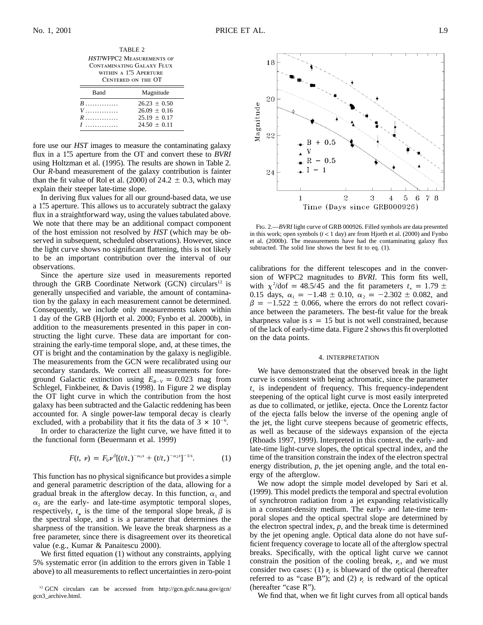18

20

TABLE 2 HST/WFPC2 Measurements of Contaminating Galaxy Flux WITHIN A 1"5 APERTURE Centered on the OT

| Band                                     | Magnitude                                                            |
|------------------------------------------|----------------------------------------------------------------------|
| $B$<br>$V$ . The set of $V$<br>$R$<br>7. | $26.23 + 0.50$<br>$26.09 + 0.16$<br>$25.19 + 0.17$<br>$24.50 + 0.11$ |

fore use our *HST* images to measure the contaminating galaxy flux in a 1<sup>"''</sup>.5 aperture from the OT and convert these to *BVRI* using Holtzman et al. (1995). The results are shown in Table 2. Our *R*-band measurement of the galaxy contribution is fainter than the fit value of Rol et al. (2000) of  $24.2 \pm 0.3$ , which may explain their steeper late-time slope.

In deriving flux values for all our ground-based data, we use a 1".5 aperture. This allows us to accurately subtract the galaxy flux in a straightforward way, using the values tabulated above. We note that there may be an additional compact component of the host emission not resolved by *HST* (which may be observed in subsequent, scheduled observations). However, since the light curve shows no significant flattening, this is not likely to be an important contribution over the interval of our observations.

Since the aperture size used in measurements reported through the GRB Coordinate Network (GCN) circulars<sup>12</sup> is generally unspecified and variable, the amount of contamination by the galaxy in each measurement cannot be determined. Consequently, we include only measurements taken within 1 day of the GRB (Hjorth et al. 2000; Fynbo et al. 2000b), in addition to the measurements presented in this paper in constructing the light curve. These data are important for constraining the early-time temporal slope, and, at these times, the OT is bright and the contamination by the galaxy is negligible. The measurements from the GCN were recalibrated using our secondary standards. We correct all measurements for foreground Galactic extinction using  $E_{B-V} = 0.023$  mag from Schlegel, Finkbeiner, & Davis (1998). In Figure 2 we display the OT light curve in which the contribution from the host galaxy has been subtracted and the Galactic reddening has been accounted for. A single power-law temporal decay is clearly excluded, with a probability that it fits the data of  $3 \times 10^{-6}$ .

In order to characterize the light curve, we have fitted it to the functional form (Beuermann et al. 1999)

$$
F(t, \nu) = F_0 \nu^{\beta} [(t/t_*)^{-\alpha_1 s} + (t/t_*)^{-\alpha_2 s}]^{-1/s}.
$$
 (1)

This function has no physical significance but provides a simple and general parametric description of the data, allowing for a gradual break in the afterglow decay. In this function,  $\alpha_1$  and  $\alpha_2$  are the early- and late-time asymptotic temporal slopes, respectively,  $t_*$  is the time of the temporal slope break,  $\beta$  is the spectral slope, and *s* is a parameter that determines the sharpness of the transition. We leave the break sharpness as a free parameter, since there is disagreement over its theoretical value (e.g., Kumar & Panaitescu 2000).

We first fitted equation (1) without any constraints, applying 5% systematic error (in addition to the errors given in Table 1 above) to all measurements to reflect uncertainties in zero-point



Fig. 2.—*BVRI* light curve of GRB 000926. Filled symbols are data presented in this work; open symbols  $(t < 1$  day) are from Hjorth et al. (2000) and Fynbo et al. (2000b). The measurements have had the contaminating galaxy flux subtracted. The solid line shows the best fit to eq. (1).

calibrations for the different telescopes and in the conversion of WFPC2 magnitudes to *BVRI*. This form fits well, with  $\chi^2$ /dof = 48.5/45 and the fit parameters  $t_* = 1.79 \pm 1.79$ 0.15 days,  $\alpha_1 = -1.48 \pm 0.10$ ,  $\alpha_2 = -2.302 \pm 0.082$ , and  $\beta = -1.522 \pm 0.066$ , where the errors do not reflect covariance between the parameters. The best-fit value for the break sharpness value is  $s = 15$  but is not well constrained, because of the lack of early-time data. Figure 2 shows this fit overplotted on the data points.

#### 4. INTERPRETATION

We have demonstrated that the observed break in the light curve is consistent with being achromatic, since the parameter *t*<sub>∗</sub> is independent of frequency. This frequency-independent steepening of the optical light curve is most easily interpreted as due to collimated, or jetlike, ejecta. Once the Lorentz factor of the ejecta falls below the inverse of the opening angle of the jet, the light curve steepens because of geometric effects, as well as because of the sideways expansion of the ejecta (Rhoads 1997, 1999). Interpreted in this context, the early- and late-time light-curve slopes, the optical spectral index, and the time of the transition constrain the index of the electron spectral energy distribution, *p*, the jet opening angle, and the total energy of the afterglow.

We now adopt the simple model developed by Sari et al. (1999). This model predicts the temporal and spectral evolution of synchrotron radiation from a jet expanding relativistically in a constant-density medium. The early- and late-time temporal slopes and the optical spectral slope are determined by the electron spectral index, *p*, and the break time is determined by the jet opening angle. Optical data alone do not have sufficient frequency coverage to locate all of the afterglow spectral breaks. Specifically, with the optical light curve we cannot constrain the position of the cooling break,  $\nu_c$ , and we must consider two cases: (1)  $\nu$  is blueward of the optical (hereafter referred to as "case B"); and (2)  $\nu$  is redward of the optical (hereafter "case R").

We find that, when we fit light curves from all optical bands

-8

<sup>&</sup>lt;sup>12</sup> GCN circulars can be accessed from http://gcn.gsfc.nasa.gov/gcn/ gcn3\_archive.html.